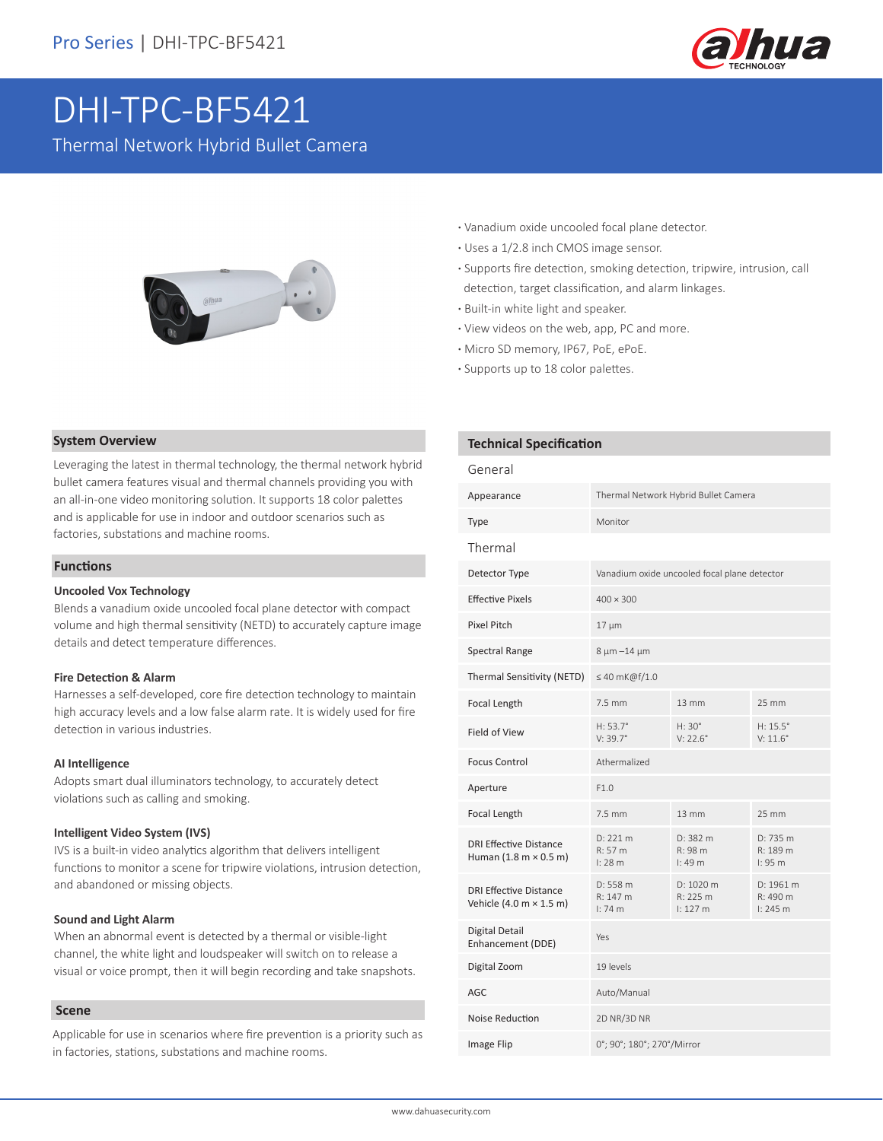

# DHI-TPC-BF5421

Thermal Network Hybrid Bullet Camera



- **·** Vanadium oxide uncooled focal plane detector.
- **·** Uses a 1/2.8 inch CMOS image sensor.
- **·** Supports fire detection, smoking detection, tripwire, intrusion, call
- detection, target classification, and alarm linkages.
- **·** Built-in white light and speaker.
- **·** View videos on the web, app, PC and more.
- **·** Micro SD memory, IP67, PoE, ePoE.
- **·** Supports up to 18 color palettes.

**Technical Specification**

## **System Overview**

Leveraging the latest in thermal technology, the thermal network hybrid bullet camera features visual and thermal channels providing you with an all-in-one video monitoring solution. It supports 18 color palettes and is applicable for use in indoor and outdoor scenarios such as factories, substations and machine rooms.

#### **Functions**

## **Uncooled Vox Technology**

Blends a vanadium oxide uncooled focal plane detector with compact volume and high thermal sensitivity (NETD) to accurately capture image details and detect temperature differences.

## **Fire Detection & Alarm**

Harnesses a self-developed, core fire detection technology to maintain high accuracy levels and a low false alarm rate. It is widely used for fire detection in various industries.

#### **AI Intelligence**

Adopts smart dual illuminators technology, to accurately detect violations such as calling and smoking.

#### **Intelligent Video System (IVS)**

IVS is a built-in video analytics algorithm that delivers intelligent functions to monitor a scene for tripwire violations, intrusion detection, and abandoned or missing objects.

#### **Sound and Light Alarm**

When an abnormal event is detected by a thermal or visible-light channel, the white light and loudspeaker will switch on to release a visual or voice prompt, then it will begin recording and take snapshots.

#### **Scene**

Applicable for use in scenarios where fire prevention is a priority such as in factories, stations, substations and machine rooms.

| Thermal Network Hybrid Bullet Camera         |                                       |                                      |
|----------------------------------------------|---------------------------------------|--------------------------------------|
| Monitor                                      |                                       |                                      |
|                                              |                                       |                                      |
| Vanadium oxide uncooled focal plane detector |                                       |                                      |
| $400 \times 300$                             |                                       |                                      |
| $17 \mu m$                                   |                                       |                                      |
| $8 \mu m - 14 \mu m$                         |                                       |                                      |
| $\leq 40$ mK@f/1.0                           |                                       |                                      |
| $7.5$ mm                                     | 13 mm                                 | 25 mm                                |
| $H: 53.7^{\circ}$<br>V: 39.7°                | $H: 30^\circ$<br>V: 22.6°             | $H: 15.5^{\circ}$<br>$V: 11.6^\circ$ |
| Athermalized                                 |                                       |                                      |
| F1.0                                         |                                       |                                      |
| 7.5 mm                                       | 13 mm                                 | 25 mm                                |
| D: 221 m<br>R: 57m<br>l: 28m                 | D: 382 m<br>R: 98 m<br>$\vert$ : 49 m | D: 735 m<br>R: 189 m<br>l: 95 m      |
| D: 558 m<br>R: 147 m<br>$1:74 \text{ m}$     | D: 1020 m<br>R: 225 m<br>1:127m       | D: 1961 m<br>R: 490 m<br>1: 245 m    |
| Yes                                          |                                       |                                      |
| 19 levels                                    |                                       |                                      |
| Auto/Manual                                  |                                       |                                      |
| 2D NR/3D NR                                  |                                       |                                      |
| 0°; 90°; 180°; 270°/Mirror                   |                                       |                                      |
|                                              |                                       |                                      |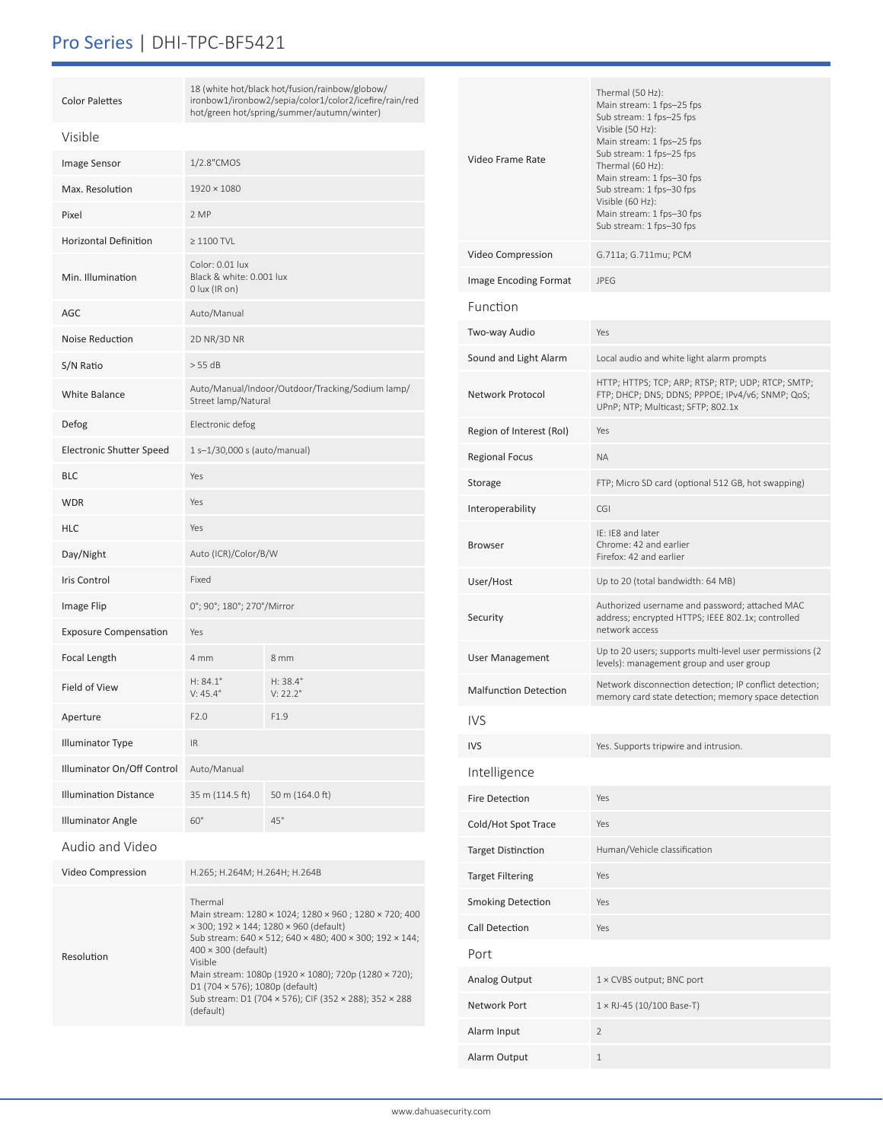# Pro Series | DHI-TPC-BF5421

| <b>Color Palettes</b>        | 18 (white hot/black hot/fusion/rainbow/globow/<br>ironbow1/ironbow2/sepia/color1/color2/icefire/rain/red<br>hot/green hot/spring/summer/autumn/winter)                                                                                                                                                                                                                                   |                               |  |  |
|------------------------------|------------------------------------------------------------------------------------------------------------------------------------------------------------------------------------------------------------------------------------------------------------------------------------------------------------------------------------------------------------------------------------------|-------------------------------|--|--|
| Visible                      |                                                                                                                                                                                                                                                                                                                                                                                          |                               |  |  |
| Image Sensor                 | 1/2.8" CMOS                                                                                                                                                                                                                                                                                                                                                                              |                               |  |  |
| Max. Resolution              | $1920 \times 1080$                                                                                                                                                                                                                                                                                                                                                                       |                               |  |  |
| Pixel                        | 2 MP                                                                                                                                                                                                                                                                                                                                                                                     |                               |  |  |
| <b>Horizontal Definition</b> | $\geq 1100$ TVL                                                                                                                                                                                                                                                                                                                                                                          |                               |  |  |
| Min. Illumination            | Color: 0.01 lux<br>Black & white: 0.001 lux<br>0 lux (IR on)                                                                                                                                                                                                                                                                                                                             |                               |  |  |
| <b>AGC</b>                   | Auto/Manual                                                                                                                                                                                                                                                                                                                                                                              |                               |  |  |
| Noise Reduction              | 2D NR/3D NR                                                                                                                                                                                                                                                                                                                                                                              |                               |  |  |
| S/N Ratio                    | > 55 dB                                                                                                                                                                                                                                                                                                                                                                                  |                               |  |  |
| White Balance                | Auto/Manual/Indoor/Outdoor/Tracking/Sodium lamp/<br>Street lamp/Natural                                                                                                                                                                                                                                                                                                                  |                               |  |  |
| Defog                        | Electronic defog                                                                                                                                                                                                                                                                                                                                                                         |                               |  |  |
| Electronic Shutter Speed     | 1 s-1/30,000 s (auto/manual)                                                                                                                                                                                                                                                                                                                                                             |                               |  |  |
| <b>BLC</b>                   | Yes                                                                                                                                                                                                                                                                                                                                                                                      |                               |  |  |
| <b>WDR</b>                   | Yes                                                                                                                                                                                                                                                                                                                                                                                      |                               |  |  |
| <b>HLC</b>                   | Yes                                                                                                                                                                                                                                                                                                                                                                                      |                               |  |  |
| Day/Night                    | Auto (ICR)/Color/B/W                                                                                                                                                                                                                                                                                                                                                                     |                               |  |  |
| <b>Iris Control</b>          | Fixed                                                                                                                                                                                                                                                                                                                                                                                    |                               |  |  |
| Image Flip                   | 0°; 90°; 180°; 270°/Mirror                                                                                                                                                                                                                                                                                                                                                               |                               |  |  |
| <b>Exposure Compensation</b> | Yes                                                                                                                                                                                                                                                                                                                                                                                      |                               |  |  |
| Focal Length                 | 4 mm                                                                                                                                                                                                                                                                                                                                                                                     | 8 mm                          |  |  |
| Field of View                | $H: 84.1^{\circ}$<br>$V: 45.4^{\circ}$                                                                                                                                                                                                                                                                                                                                                   | $H: 38.4^{\circ}$<br>V: 22.2° |  |  |
| Aperture                     | F2.0                                                                                                                                                                                                                                                                                                                                                                                     | F <sub>1.9</sub>              |  |  |
| <b>Illuminator Type</b>      | IR.                                                                                                                                                                                                                                                                                                                                                                                      |                               |  |  |
| Illuminator On/Off Control   | Auto/Manual                                                                                                                                                                                                                                                                                                                                                                              |                               |  |  |
| <b>Illumination Distance</b> | 35 m (114.5 ft)                                                                                                                                                                                                                                                                                                                                                                          | 50 m (164.0 ft)               |  |  |
| <b>Illuminator Angle</b>     | $60^\circ$                                                                                                                                                                                                                                                                                                                                                                               | $45^\circ$                    |  |  |
| Audio and Video              |                                                                                                                                                                                                                                                                                                                                                                                          |                               |  |  |
| Video Compression            | H.265; H.264M; H.264H; H.264B                                                                                                                                                                                                                                                                                                                                                            |                               |  |  |
| Resolution                   | Thermal<br>Main stream: 1280 × 1024; 1280 × 960 ; 1280 × 720; 400<br>× 300; 192 × 144; 1280 × 960 (default)<br>Sub stream: 640 × 512; 640 × 480; 400 × 300; 192 × 144;<br>$400 \times 300$ (default)<br>Visible<br>Main stream: 1080p (1920 × 1080); 720p (1280 × 720);<br>D1 (704 $\times$ 576); 1080p (default)<br>Sub stream: D1 (704 × 576); CIF (352 × 288); 352 × 288<br>(default) |                               |  |  |

| Video Frame Rate             | Thermal (50 Hz):<br>Main stream: 1 fps-25 fps<br>Sub stream: 1 fps-25 fps<br>Visible (50 Hz):<br>Main stream: 1 fps-25 fps<br>Sub stream: 1 fps-25 fps<br>Thermal (60 Hz):<br>Main stream: 1 fps-30 fps<br>Sub stream: 1 fps-30 fps<br>Visible (60 Hz):<br>Main stream: 1 fps-30 fps<br>Sub stream: 1 fps-30 fps |  |
|------------------------------|------------------------------------------------------------------------------------------------------------------------------------------------------------------------------------------------------------------------------------------------------------------------------------------------------------------|--|
| Video Compression            | G.711a; G.711mu; PCM                                                                                                                                                                                                                                                                                             |  |
| <b>Image Encoding Format</b> | <b>JPEG</b>                                                                                                                                                                                                                                                                                                      |  |
| Function                     |                                                                                                                                                                                                                                                                                                                  |  |
| Two-way Audio                | Yes                                                                                                                                                                                                                                                                                                              |  |
| Sound and Light Alarm        | Local audio and white light alarm prompts                                                                                                                                                                                                                                                                        |  |
| Network Protocol             | HTTP; HTTPS; TCP; ARP; RTSP; RTP; UDP; RTCP; SMTP;<br>FTP; DHCP; DNS; DDNS; PPPOE; IPv4/v6; SNMP; QoS;<br>UPnP; NTP; Multicast; SFTP; 802.1x                                                                                                                                                                     |  |
| Region of Interest (RoI)     | Yes                                                                                                                                                                                                                                                                                                              |  |
| <b>Regional Focus</b>        | <b>NA</b>                                                                                                                                                                                                                                                                                                        |  |
| Storage                      | FTP; Micro SD card (optional 512 GB, hot swapping)                                                                                                                                                                                                                                                               |  |
| Interoperability             | CGI                                                                                                                                                                                                                                                                                                              |  |
| Browser                      | IE: IE8 and later<br>Chrome: 42 and earlier<br>Firefox: 42 and earlier                                                                                                                                                                                                                                           |  |
| User/Host                    | Up to 20 (total bandwidth: 64 MB)                                                                                                                                                                                                                                                                                |  |
| Security                     | Authorized username and password; attached MAC<br>address; encrypted HTTPS; IEEE 802.1x; controlled<br>network access                                                                                                                                                                                            |  |
| User Management              | Up to 20 users; supports multi-level user permissions (2)<br>levels): management group and user group                                                                                                                                                                                                            |  |
| Malfunction Detection        | Network disconnection detection; IP conflict detection;<br>memory card state detection; memory space detection                                                                                                                                                                                                   |  |
| <b>IVS</b>                   |                                                                                                                                                                                                                                                                                                                  |  |
| IVS                          | Yes. Supports tripwire and intrusion.                                                                                                                                                                                                                                                                            |  |
| Intelligence                 |                                                                                                                                                                                                                                                                                                                  |  |
| Fire Detection               | Yes                                                                                                                                                                                                                                                                                                              |  |
| Cold/Hot Spot Trace          | Yes                                                                                                                                                                                                                                                                                                              |  |
| <b>Target Distinction</b>    | Human/Vehicle classification                                                                                                                                                                                                                                                                                     |  |
| <b>Target Filtering</b>      | Yes                                                                                                                                                                                                                                                                                                              |  |
| Smoking Detection            | Yes                                                                                                                                                                                                                                                                                                              |  |
| Call Detection               | Yes                                                                                                                                                                                                                                                                                                              |  |
| Port                         |                                                                                                                                                                                                                                                                                                                  |  |
| Analog Output                | 1 × CVBS output; BNC port                                                                                                                                                                                                                                                                                        |  |
| Network Port                 | $1 \times R$ J-45 (10/100 Base-T)                                                                                                                                                                                                                                                                                |  |
| Alarm Input                  | $\overline{2}$                                                                                                                                                                                                                                                                                                   |  |
| Alarm Output                 | 1                                                                                                                                                                                                                                                                                                                |  |